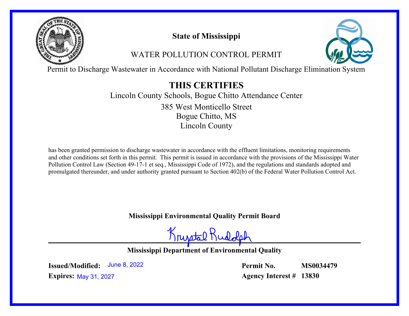

# **State of Mississippi**

# WATER POLLUTION CONTROL PERMIT



Permit to Discharge Wastewater in Accordance with National Pollutant Discharge Elimination System

# **THIS CERTIFIES**

Lincoln County Schools, Bogue Chitto Attendance Center Bogue Chitto, MS Lincoln County 385 West Monticello Street

has been granted permission to discharge wastewater in accordance with the effluent limitations, monitoring requirements and other conditions set forth in this permit. This permit is issued in accordance with the provisions of the Mississippi Water Pollution Control Law (Section 49-17-1 et seq., Mississippi Code of 1972), and the regulations and standards adopted and promulgated thereunder, and under authority granted pursuant to Section 402(b) of the Federal Water Pollution Control Act.

**Mississippi Environmental Quality Permit Board**

Krustal Ru

**Mississippi Department of Environmental Quality**

**Issued/Modified: Expires:** May 31, 2027June 8, 2022 **Permit No. Agency Interest # 13830 MS0034479**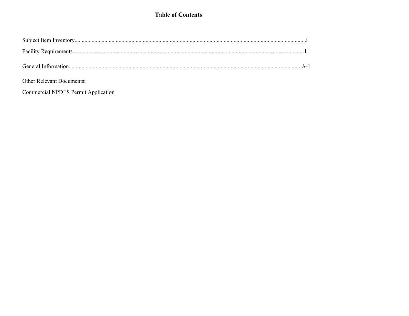## **Table of Contents**

| <b>Other Relevant Documents:</b> |  |
|----------------------------------|--|

**Commercial NPDES Permit Application**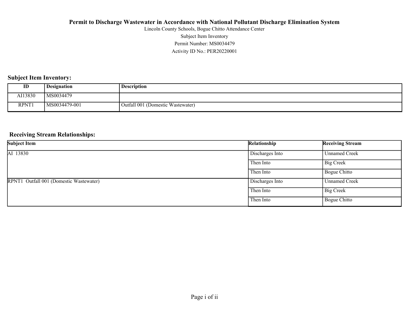Activity ID No.: PER20220001 Permit Number: MS0034479 Subject Item Inventory Lincoln County Schools, Bogue Chitto Attendance Center

## **Subject Item Inventory:**

| ID           | <b>Designation</b> | <b>Description</b>                |
|--------------|--------------------|-----------------------------------|
| AI13830      | MS0034479          |                                   |
| <b>RPNT1</b> | MS0034479-001      | Outfall 001 (Domestic Wastewater) |

#### **Receiving Stream Relationships:**

| <b>Subject Item</b>                     | Relationship    | <b>Receiving Stream</b> |
|-----------------------------------------|-----------------|-------------------------|
| AI 13830                                | Discharges Into | <b>Unnamed Creek</b>    |
|                                         | Then Into       | Big Creek               |
|                                         | Then Into       | Bogue Chitto            |
| RPNT1 Outfall 001 (Domestic Wastewater) | Discharges Into | <b>Unnamed Creek</b>    |
|                                         | Then Into       | <b>Big Creek</b>        |
|                                         | Then Into       | Bogue Chitto            |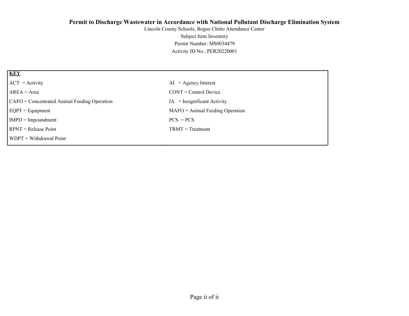Activity ID No.: PER20220001 Permit Number: MS0034479 Subject Item Inventory Lincoln County Schools, Bogue Chitto Attendance Center

| <b>KEY</b>                                   |                                   |
|----------------------------------------------|-----------------------------------|
| $ ACT = Activity$                            | $AI = Agency Interest$            |
| $AREA = Area$                                | $CONT = Control$ Device           |
| CAFO = Concentrated Animal Feeding Operation | $IA = Insignificant Activity$     |
| $EQPT = Equipment$                           | $MAFO = Animal Feeding Operation$ |
| $IMPD = Important$                           | $PCS = PCs$                       |
| $RPNT = Release Point$                       | $TRMT = Treatment$                |
| WDPT = Withdrawal Point                      |                                   |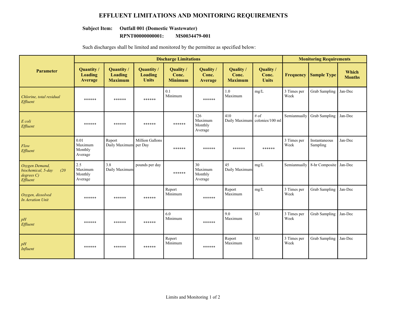## **EFFLUENT LIMITATIONS AND MONITORING REQUIREMENTS**

### **Subject Item: Outfall 001 (Domestic Wastewater)**

#### **RPNT00000000001: MS0034479-001**

Such discharges shall be limited and monitored by the permittee as specified below:

|                                                                     | <b>Discharge Limitations</b>          |                                                |                                             |                                      |                                      |                                      |                                       | <b>Monitoring Requirements</b> |                           |                        |
|---------------------------------------------------------------------|---------------------------------------|------------------------------------------------|---------------------------------------------|--------------------------------------|--------------------------------------|--------------------------------------|---------------------------------------|--------------------------------|---------------------------|------------------------|
| <b>Parameter</b>                                                    | Quantity /<br>Loading<br>Average      | Quantity /<br><b>Loading</b><br><b>Maximum</b> | Quantity/<br><b>Loading</b><br><b>Units</b> | Quality /<br>Conc.<br><b>Minimum</b> | Quality /<br>Conc.<br>Average        | Quality /<br>Conc.<br><b>Maximum</b> | Quality /<br>Conc.<br><b>Units</b>    | <b>Frequency</b>               | <b>Sample Type</b>        | Which<br><b>Months</b> |
| Chlorine, total residual<br>Effluent                                | ******                                | ******                                         | ******                                      | 0.1<br>Minimum                       | ******                               | 1.0<br>Maximum                       | mg/L                                  | 3 Times per<br>Week            | <b>Grab Sampling</b>      | Jan-Dec                |
| E coli<br>Effluent                                                  | ******                                | ******                                         | ******                                      | ******                               | 126<br>Maximum<br>Monthly<br>Average | 410                                  | # of<br>Daily Maximum colonies/100 ml | Semiannually                   | <b>Grab Sampling</b>      | Jan-Dec                |
| Flow<br>Effluent                                                    | 0.01<br>Maximum<br>Monthly<br>Average | Report<br>Daily Maximum per Day                | <b>Million Gallons</b>                      | ******                               | ******                               | ******                               | ******                                | 3 Times per<br>Week            | Instantaneous<br>Sampling | Jan-Dec                |
| Oxygen Demand,<br>biochemical, 5-day<br>(20)<br>degreeC<br>Effluent | 2.5<br>Maximum<br>Monthly<br>Average  | 3.8<br>Daily Maximum                           | pounds per day                              | ******                               | 30<br>Maximum<br>Monthly<br>Average  | 45<br>Daily Maximum                  | mg/L                                  | Semiannually                   | 8-hr Composite            | Jan-Dec                |
| Oxygen, dissolved<br><b>In Aeration Unit</b>                        | ******                                | ******                                         | ******                                      | Report<br>Minimum                    | ******                               | Report<br>Maximum                    | mg/L                                  | 3 Times per<br>Week            | <b>Grab Sampling</b>      | Jan-Dec                |
| pH<br>Effluent                                                      | ******                                | ******                                         | ******                                      | 6.0<br>Minimum                       | ******                               | 9.0<br>Maximum                       | <b>SU</b>                             | 3 Times per<br>Week            | <b>Grab Sampling</b>      | Jan-Dec                |
| pH<br><b>Influent</b>                                               | ******                                | ******                                         | ******                                      | Report<br>Minimum                    | ******                               | Report<br>Maximum                    | SU                                    | 3 Times per<br>Week            | <b>Grab Sampling</b>      | Jan-Dec                |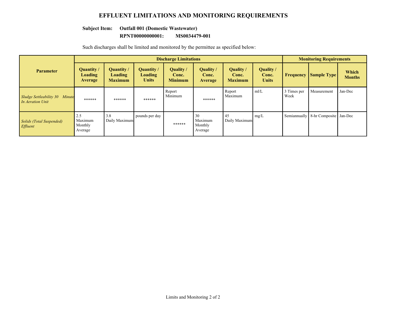## **EFFLUENT LIMITATIONS AND MONITORING REQUIREMENTS**

### **Subject Item: Outfall 001 (Domestic Wastewater)**

#### **RPNT00000000001: MS0034479-001**

Such discharges shall be limited and monitored by the permittee as specified below:

|                                                    | <b>Discharge Limitations</b>         |                                                       |                                                     |                                      |                                     |                                      |                                           | <b>Monitoring Requirements</b> |                                     |                        |
|----------------------------------------------------|--------------------------------------|-------------------------------------------------------|-----------------------------------------------------|--------------------------------------|-------------------------------------|--------------------------------------|-------------------------------------------|--------------------------------|-------------------------------------|------------------------|
| <b>Parameter</b>                                   | Quantity /<br>Loading<br>Average     | <b>Quantity</b> /<br><b>Loading</b><br><b>Maximum</b> | <b>Quantity</b> /<br><b>Loading</b><br><b>Units</b> | Quality /<br>Conc.<br><b>Minimum</b> | Quality /<br>Conc.<br>Average       | Quality /<br>Conc.<br><b>Maximum</b> | <b>Quality</b> /<br>Conc.<br><b>Units</b> | <b>Frequency</b>               | <b>Sample Type</b>                  | Which<br><b>Months</b> |
| Sludge Settleability 30 Minute<br>In Aeration Unit | ******                               | ******                                                | ******                                              | Report<br>Minimum                    | ******                              | Report<br>Maximum                    | m/L                                       | 3 Times per<br>Week            | Measurement                         | Jan-Dec                |
| Solids (Total Suspended)<br>Effluent               | 2.5<br>Maximum<br>Monthly<br>Average | 3.8<br>Daily Maximum                                  | pounds per day                                      | ******                               | 30<br>Maximum<br>Monthly<br>Average | 45<br>Daily Maximum                  | mg/L                                      |                                | Semiannually 8-hr Composite Jan-Dec |                        |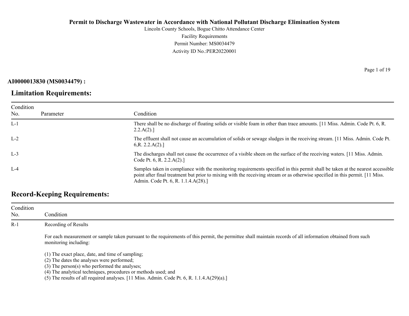Lincoln County Schools, Bogue Chitto Attendance Center Facility Requirements Permit Number: MS0034479 Activity ID No.:PER20220001

**AI0000013830 (MS0034479) :**

## **Limitation Requirements:**

Condition No. Parameter Condition L-1 There shall be no discharge of floating solids or visible foam in other than trace amounts. [11 Miss. Admin. Code Pt. 6, R.  $2.2.A(2).$ ] L-2 The effluent shall not cause an accumulation of solids or sewage sludges in the receiving stream. [11 Miss. Admin. Code Pt. 6,R. 2.2.A(2).] L-3 The discharges shall not cause the occurrence of a visible sheen on the surface of the receiving waters. [11 Miss. Admin. Code Pt. 6, R. 2.2.A(2).] L-4 Samples taken in compliance with the monitoring requirements specified in this permit shall be taken at the nearest accessible point after final treatment but prior to mixing with the receiving stream or as otherwise specified in this permit. [11 Miss. Admin. Code Pt. 6, R. 1.1.4.A(28).]

# **Record-Keeping Requirements:**

| Condition<br>No. | Condition                                                                                                                                                                             |
|------------------|---------------------------------------------------------------------------------------------------------------------------------------------------------------------------------------|
| $R-1$            | Recording of Results                                                                                                                                                                  |
|                  | For each measurement or sample taken pursuant to the requirements of this permit, the permittee shall maintain records of all information obtained from such<br>monitoring including: |
|                  | (1) The exact place, date, and time of sampling;<br>(2) The dates the analyses were performed;                                                                                        |
|                  | $(3)$ The person $(s)$ who performed the analyses;                                                                                                                                    |
|                  | (4) The analytical techniques, procedures or methods used; and                                                                                                                        |
|                  | (5) The results of all required analyses. [11 Miss. Admin. Code Pt. 6, R. 1.1.4.A $(29)(a)$ .]                                                                                        |

Page 1 of 19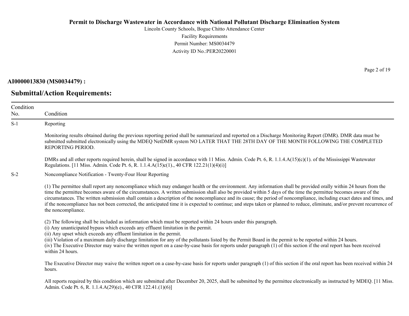Lincoln County Schools, Bogue Chitto Attendance Center Facility Requirements Permit Number: MS0034479 Activity ID No.:PER20220001

**AI0000013830 (MS0034479) :**

No.

**Submittal/Action Requirements:**

Condition Condition S-1 Reporting Monitoring results obtained during the previous reporting period shall be summarized and reported on a Discharge Monitoring Report (DMR). DMR data must be submitted submitted electronically using the MDEQ NetDMR system NO LATER THAT THE 28TH DAY OF THE MONTH FOLLOWING THE COMPLETED REPORTING PERIOD. DMRs and all other reports required herein, shall be signed in accordance with 11 Miss. Admin. Code Pt. 6, R. 1.1.4.A(15)(c)(1). of the Mississippi Wastewater Regulations. [11 Miss. Admin. Code Pt. 6, R. 1.1.4.A(15)c(1)., 40 CFR 122.21(1)(4)(i)] S-2 Noncompliance Notification - Twenty-Four Hour Reporting (1) The permittee shall report any noncompliance which may endanger health or the environment. Any information shall be provided orally within 24 hours from the time the permittee becomes aware of the circumstances. A written submission shall also be provided within 5 days of the time the permittee becomes aware of the circumstances. The written submission shall contain a description of the noncompliance and its cause; the period of noncompliance, including exact dates and times, and if the noncompliance has not been corrected, the anticipated time it is expected to continue; and steps taken or planned to reduce, eliminate, and/or prevent recurrence of the noncompliance. (2) The following shall be included as information which must be reported within 24 hours under this paragraph. (i) Any unanticipated bypass which exceeds any effluent limitation in the permit. (ii) Any upset which exceeds any effluent limitation in the permit. (iii) Violation of a maximum daily discharge limitation for any of the pollutants listed by the Permit Board in the permit to be reported within 24 hours. (iv) The Executive Director may waive the written report on a case-by-case basis for reports under paragraph (1) of this section if the oral report has been received within 24 hours. The Executive Director may waive the written report on a case-by-case basis for reports under paragraph (1) of this section if the oral report has been received within 24 hours.

All reports required by this condition which are submitted after December 20, 2025, shall be submitted by the permittee electronically as instructed by MDEQ. [11 Miss.] Admin. Code Pt. 6, R. 1.1.4.A(29)(e)., 40 CFR 122.41.(1)(6)]

Page 2 of 19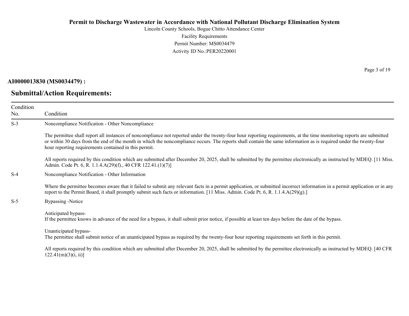Lincoln County Schools, Bogue Chitto Attendance Center Facility Requirements Permit Number: MS0034479 Activity ID No.:PER20220001

## **AI0000013830 (MS0034479) :**

## **Submittal/Action Requirements:**

Page 3 of 19

| Condition<br>No. | Condition                                                                                                                                                                                                                                                                                                                                                                                             |
|------------------|-------------------------------------------------------------------------------------------------------------------------------------------------------------------------------------------------------------------------------------------------------------------------------------------------------------------------------------------------------------------------------------------------------|
| $S-3$            | Noncompliance Notification - Other Noncompliance                                                                                                                                                                                                                                                                                                                                                      |
|                  | The permittee shall report all instances of noncompliance not reported under the twenty-four hour reporting requirements, at the time monitoring reports are submitted<br>or within 30 days from the end of the month in which the noncompliance occurs. The reports shall contain the same information as is required under the twenty-four<br>hour reporting requirements contained in this permit. |
|                  | All reports required by this condition which are submitted after December 20, 2025, shall be submitted by the permittee electronically as instructed by MDEQ. [11 Miss.]<br>Admin. Code Pt. 6, R. 1.1.4.A(29)(f)., 40 CFR 122.41.(1)(7)]                                                                                                                                                              |
| $S-4$            | Noncompliance Notification - Other Information                                                                                                                                                                                                                                                                                                                                                        |
|                  | Where the permittee becomes aware that it failed to submit any relevant facts in a permit application, or submitted incorrect information in a permit application or in any<br>report to the Permit Board, it shall promptly submit such facts or information. [11 Miss. Admin. Code Pt. 6, R. 1.1.4.A(29)(g).]                                                                                       |
| $S-5$            | Bypassing -Notice                                                                                                                                                                                                                                                                                                                                                                                     |
|                  | Anticipated bypass-<br>If the permittee knows in advance of the need for a bypass, it shall submit prior notice, if possible at least ten days before the date of the bypass.                                                                                                                                                                                                                         |
|                  | Unanticipated bypass-<br>The permittee shall submit notice of an unanticipated bypass as required by the twenty-four hour reporting requirements set forth in this permit.                                                                                                                                                                                                                            |
|                  | All reports required by this condition which are submitted after December 20, 2025, shall be submitted by the permittee electronically as instructed by MDEQ. [40 CFR<br>122.41(m)(3)(i, ii)                                                                                                                                                                                                          |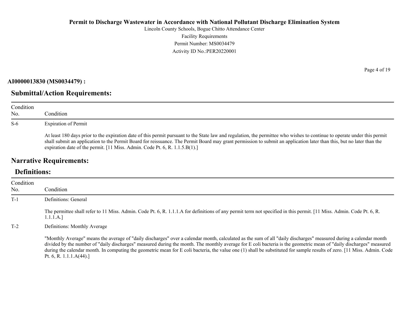Lincoln County Schools, Bogue Chitto Attendance Center Facility Requirements Permit Number: MS0034479 Activity ID No.:PER20220001

**AI0000013830 (MS0034479) :**

# **Submittal/Action Requirements:**

| Condition<br>No. | Condition                                                                                                                                                                                                                                                                                                                                                                                                                         |
|------------------|-----------------------------------------------------------------------------------------------------------------------------------------------------------------------------------------------------------------------------------------------------------------------------------------------------------------------------------------------------------------------------------------------------------------------------------|
| $S-6$            | <b>Expiration of Permit</b>                                                                                                                                                                                                                                                                                                                                                                                                       |
|                  | At least 180 days prior to the expiration date of this permit pursuant to the State law and regulation, the permittee who wishes to continue to operate under this permit<br>shall submit an application to the Permit Board for reissuance. The Permit Board may grant permission to submit an application later than this, but no later than the<br>expiration date of the permit. [11 Miss. Admin. Code Pt. 6, R. 1.1.5.B(1).] |

# **Narrative Requirements:**

# **Definitions:**

| Condition<br>No. | Condition                                                                                                                                                                                                                                                                                                                                                                                                                                                                                                                                           |
|------------------|-----------------------------------------------------------------------------------------------------------------------------------------------------------------------------------------------------------------------------------------------------------------------------------------------------------------------------------------------------------------------------------------------------------------------------------------------------------------------------------------------------------------------------------------------------|
| $T-1$            | Definitions: General                                                                                                                                                                                                                                                                                                                                                                                                                                                                                                                                |
|                  | The permittee shall refer to 11 Miss. Admin. Code Pt. 6, R. 1.1.1.A for definitions of any permit term not specified in this permit. [11 Miss. Admin. Code Pt. 6, R.<br>1.1.1.A.]                                                                                                                                                                                                                                                                                                                                                                   |
| $T-2$            | Definitions: Monthly Average                                                                                                                                                                                                                                                                                                                                                                                                                                                                                                                        |
|                  | "Monthly Average" means the average of "daily discharges" over a calendar month, calculated as the sum of all "daily discharges" measured during a calendar month<br>divided by the number of "daily discharges" measured during the month. The monthly average for E coli bacteria is the geometric mean of "daily discharges" measured<br>during the calendar month. In computing the geometric mean for E coli bacteria, the value one (1) shall be substituted for sample results of zero. [11 Miss. Admin. Code<br>Pt. 6, R. 1.1.1. $A(44)$ .] |

Page 4 of 19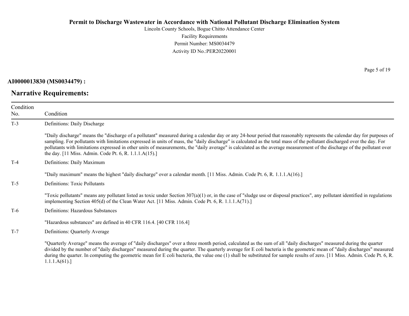Lincoln County Schools, Bogue Chitto Attendance Center Facility Requirements Permit Number: MS0034479 Activity ID No.:PER20220001

**AI0000013830 (MS0034479) :**

# **Narrative Requirements:**

Page 5 of 19

| Condition<br>No. | Condition                                                                                                                                                                                                                                                                                                                                                                                                                                                                                                                                                                                   |
|------------------|---------------------------------------------------------------------------------------------------------------------------------------------------------------------------------------------------------------------------------------------------------------------------------------------------------------------------------------------------------------------------------------------------------------------------------------------------------------------------------------------------------------------------------------------------------------------------------------------|
| $T-3$            | Definitions: Daily Discharge                                                                                                                                                                                                                                                                                                                                                                                                                                                                                                                                                                |
|                  | "Daily discharge" means the "discharge of a pollutant" measured during a calendar day or any 24-hour period that reasonably represents the calendar day for purposes of<br>sampling. For pollutants with limitations expressed in units of mass, the "daily discharge" is calculated as the total mass of the pollutant discharged over the day. For<br>pollutants with limitations expressed in other units of measurements, the "daily average" is calculated as the average measurement of the discharge of the pollutant over<br>the day. [11 Miss. Admin. Code Pt. 6, R. 1.1.1.A(15).] |
| $T-4$            | Definitions: Daily Maximum                                                                                                                                                                                                                                                                                                                                                                                                                                                                                                                                                                  |
|                  | "Daily maximum" means the highest "daily discharge" over a calendar month. [11 Miss. Admin. Code Pt. 6, R. 1.1.1.A(16).]                                                                                                                                                                                                                                                                                                                                                                                                                                                                    |
| $T-5$            | <b>Definitions: Toxic Pollutants</b>                                                                                                                                                                                                                                                                                                                                                                                                                                                                                                                                                        |
|                  | "Toxic pollutants" means any pollutant listed as toxic under Section $307(a)(1)$ or, in the case of "sludge use or disposal practices", any pollutant identified in regulations<br>implementing Section 405(d) of the Clean Water Act. [11 Miss. Admin. Code Pt. 6, R. 1.1.1.A(71).]                                                                                                                                                                                                                                                                                                        |
| T-6              | Definitions: Hazardous Substances                                                                                                                                                                                                                                                                                                                                                                                                                                                                                                                                                           |
|                  | "Hazardous substances" are defined in 40 CFR 116.4. [40 CFR 116.4]                                                                                                                                                                                                                                                                                                                                                                                                                                                                                                                          |
| $T-7$            | Definitions: Quarterly Average                                                                                                                                                                                                                                                                                                                                                                                                                                                                                                                                                              |
|                  | "Quarterly Average" means the average of "daily discharges" over a three month period, calculated as the sum of all "daily discharges" measured during the quarter<br>divided by the number of "daily discharges" measured during the quarter. The quarterly average for E coli bacteria is the geometric mean of "daily discharges" measured<br>during the quarter. In computing the geometric mean for E coli bacteria, the value one (1) shall be substituted for sample results of zero. [11 Miss. Admin. Code Pt. 6, R.<br>1.1.1.A(61).                                                |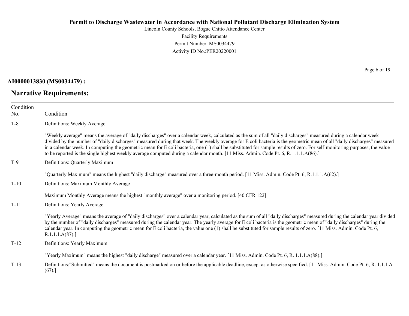Lincoln County Schools, Bogue Chitto Attendance Center Facility Requirements Permit Number: MS0034479 Activity ID No.:PER20220001

**AI0000013830 (MS0034479) :**

**Narrative Requirements:**

Page 6 of 19

| Condition<br>No. | Condition                                                                                                                                                                                                                                                                                                                                                                                                                                                                                                                                                                                                                                                    |
|------------------|--------------------------------------------------------------------------------------------------------------------------------------------------------------------------------------------------------------------------------------------------------------------------------------------------------------------------------------------------------------------------------------------------------------------------------------------------------------------------------------------------------------------------------------------------------------------------------------------------------------------------------------------------------------|
| $T-8$            | Definitions: Weekly Average                                                                                                                                                                                                                                                                                                                                                                                                                                                                                                                                                                                                                                  |
|                  | "Weekly average" means the average of "daily discharges" over a calendar week, calculated as the sum of all "daily discharges" measured during a calendar week<br>divided by the number of "daily discharges" measured during that week. The weekly average for E coli bacteria is the geometric mean of all "daily discharges" measured<br>in a calendar week. In computing the geometric mean for E coli bacteria, one (1) shall be substituted for sample results of zero. For self-monitoring purposes, the value<br>to be reported is the single highest weekly average computed during a calendar month. [11 Miss. Admin. Code Pt. 6, R. 1.1.1.A(86).] |
| $T-9$            | Definitions: Quarterly Maximum                                                                                                                                                                                                                                                                                                                                                                                                                                                                                                                                                                                                                               |
|                  | "Quarterly Maximum" means the highest "daily discharge" measured over a three-month period. [11 Miss. Admin. Code Pt. 6, R.1.1.1.A(62).]                                                                                                                                                                                                                                                                                                                                                                                                                                                                                                                     |
| $T-10$           | Definitions: Maximum Monthly Average                                                                                                                                                                                                                                                                                                                                                                                                                                                                                                                                                                                                                         |
|                  | Maximum Monthly Average means the highest "monthly average" over a monitoring period. [40 CFR 122]                                                                                                                                                                                                                                                                                                                                                                                                                                                                                                                                                           |
| $T-11$           | Definitions: Yearly Average                                                                                                                                                                                                                                                                                                                                                                                                                                                                                                                                                                                                                                  |
|                  | "Yearly Average" means the average of "daily discharges" over a calendar year, calculated as the sum of all "daily discharges" measured during the calendar year divided<br>by the number of "daily discharges" measured during the calendar year. The yearly average for E coli bacteria is the geometric mean of "daily discharges" during the<br>calendar year. In computing the geometric mean for E coli bacteria, the value one (1) shall be substituted for sample results of zero. [11 Miss. Admin. Code Pt. 6,<br>R.1.1.1.A(87).                                                                                                                    |
| $T-12$           | Definitions: Yearly Maximum                                                                                                                                                                                                                                                                                                                                                                                                                                                                                                                                                                                                                                  |
|                  | "Yearly Maximum" means the highest "daily discharge" measured over a calendar year. [11 Miss. Admin. Code Pt. 6, R. 1.1.1.A(88).]                                                                                                                                                                                                                                                                                                                                                                                                                                                                                                                            |
| $T-13$           | Definitions:"Submitted" means the document is postmarked on or before the applicable deadline, except as otherwise specified. [11 Miss. Admin. Code Pt. 6, R. 1.1.1.A<br>(67).]                                                                                                                                                                                                                                                                                                                                                                                                                                                                              |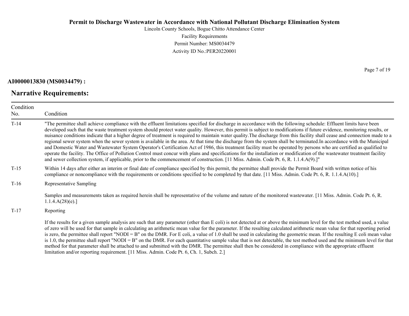Lincoln County Schools, Bogue Chitto Attendance Center Facility Requirements Permit Number: MS0034479 Activity ID No.:PER20220001

#### **AI0000013830 (MS0034479) :**

## **Narrative Requirements:**

Page 7 of 19

| Condition<br>No. | Condition                                                                                                                                                                                                                                                                                                                                                                                                                                                                                                                                                                                                                                                                                                                                                                                                                                                                                                                                                                                                                                                                                                                                                                                            |  |  |
|------------------|------------------------------------------------------------------------------------------------------------------------------------------------------------------------------------------------------------------------------------------------------------------------------------------------------------------------------------------------------------------------------------------------------------------------------------------------------------------------------------------------------------------------------------------------------------------------------------------------------------------------------------------------------------------------------------------------------------------------------------------------------------------------------------------------------------------------------------------------------------------------------------------------------------------------------------------------------------------------------------------------------------------------------------------------------------------------------------------------------------------------------------------------------------------------------------------------------|--|--|
| $T-14$           | "The permittee shall achieve compliance with the effluent limitations specified for discharge in accordance with the following schedule: Effluent limits have been<br>developed such that the waste treatment system should protect water quality. However, this permit is subject to modifications if future evidence, monitoring results, or<br>nuisance conditions indicate that a higher degree of treatment is required to maintain water quality. The discharge from this facility shall cease and connection made to a<br>regional sewer system when the sewer system is available in the area. At that time the discharge from the system shall be terminated. In accordance with the Municipal<br>and Domestic Water and Wastewater System Operator's Certification Act of 1986, this treatment facility must be operated by persons who are certified as qualified to<br>operate the facility. The Office of Pollution Control must concur with plans and specifications for the installation or modification of the wastewater treatment facility<br>and sewer collection system, if applicable, prior to the commencement of construction. [11 Miss. Admin. Code Pt. 6, R. 1.1.4.A(9).]" |  |  |
| $T-15$           | Within 14 days after either an interim or final date of compliance specified by this permit, the permittee shall provide the Permit Board with written notice of his<br>compliance or noncompliance with the requirements or conditions specified to be completed by that date. [11 Miss. Admin. Code Pt. 6, R. 1.1.4.A(10).]                                                                                                                                                                                                                                                                                                                                                                                                                                                                                                                                                                                                                                                                                                                                                                                                                                                                        |  |  |
| $T-16$           | Representative Sampling                                                                                                                                                                                                                                                                                                                                                                                                                                                                                                                                                                                                                                                                                                                                                                                                                                                                                                                                                                                                                                                                                                                                                                              |  |  |
|                  | Samples and measurements taken as required herein shall be representative of the volume and nature of the monitored wastewater. [11 Miss. Admin. Code Pt. 6, R.<br>1.1.4.A(28)(e).                                                                                                                                                                                                                                                                                                                                                                                                                                                                                                                                                                                                                                                                                                                                                                                                                                                                                                                                                                                                                   |  |  |
| $T-17$           | Reporting                                                                                                                                                                                                                                                                                                                                                                                                                                                                                                                                                                                                                                                                                                                                                                                                                                                                                                                                                                                                                                                                                                                                                                                            |  |  |
|                  | If the results for a given sample analysis are such that any parameter (other than E coli) is not detected at or above the minimum level for the test method used, a value<br>of zero will be used for that sample in calculating an arithmetic mean value for the parameter. If the resulting calculated arithmetic mean value for that reporting period<br>is zero, the permittee shall report "NODI = B" on the DMR. For E coli, a value of 1.0 shall be used in calculating the geometric mean. If the resulting E coli mean value<br>$\frac{1}{2}$ 1.0 the negmittee shall report "NODI – R" on the DMP. For each quantitative sample value that is not detectable, the test method used and the minimum level for that                                                                                                                                                                                                                                                                                                                                                                                                                                                                         |  |  |

 $1.0$ , the permittee shall report "NODI = B" on the DMR. For each quantitative sample value that is not detectable, the test method used and the minimum level for that method for that parameter shall be attached to and submitted with the DMR. The permittee shall then be considered in compliance with the appropriate effluent limitation and/or reporting requirement. [11 Miss. Admin. Code Pt. 6, Ch. 1, Subch. 2.]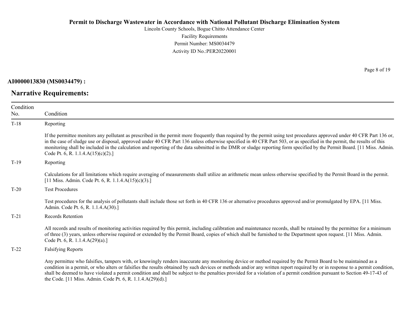Lincoln County Schools, Bogue Chitto Attendance Center Facility Requirements Permit Number: MS0034479 Activity ID No.:PER20220001

**AI0000013830 (MS0034479) :**

# **Narrative Requirements:**

Page 8 of 19

| Condition |                                                                                                                                                                                                                                                                                                                                                                                                                                                                                                                                                                      |
|-----------|----------------------------------------------------------------------------------------------------------------------------------------------------------------------------------------------------------------------------------------------------------------------------------------------------------------------------------------------------------------------------------------------------------------------------------------------------------------------------------------------------------------------------------------------------------------------|
| No.       | Condition                                                                                                                                                                                                                                                                                                                                                                                                                                                                                                                                                            |
| $T-18$    | Reporting                                                                                                                                                                                                                                                                                                                                                                                                                                                                                                                                                            |
|           | If the permittee monitors any pollutant as prescribed in the permit more frequently than required by the permit using test procedures approved under 40 CFR Part 136 or,<br>in the case of sludge use or disposal, approved under 40 CFR Part 136 unless otherwise specified in 40 CFR Part 503, or as specified in the permit, the results of this<br>monitoring shall be included in the calculation and reporting of the data submitted in the DMR or sludge reporting form specified by the Permit Board. [11 Miss. Admin.<br>Code Pt. 6, R. 1.1.4.A(15)(c)(2).] |
| $T-19$    | Reporting                                                                                                                                                                                                                                                                                                                                                                                                                                                                                                                                                            |
|           | Calculations for all limitations which require averaging of measurements shall utilize an arithmetic mean unless otherwise specified by the Permit Board in the permit.<br>[11 Miss. Admin. Code Pt. 6, R. 1.1.4. $A(15)(c)(3)$ .]                                                                                                                                                                                                                                                                                                                                   |
| $T-20$    | <b>Test Procedures</b>                                                                                                                                                                                                                                                                                                                                                                                                                                                                                                                                               |
|           | Test procedures for the analysis of pollutants shall include those set forth in 40 CFR 136 or alternative procedures approved and/or promulgated by EPA. [11 Miss.]<br>Admin. Code Pt. 6, R. 1.1.4.A(30).]                                                                                                                                                                                                                                                                                                                                                           |
| $T-21$    | Records Retention                                                                                                                                                                                                                                                                                                                                                                                                                                                                                                                                                    |
|           | All records and results of monitoring activities required by this permit, including calibration and maintenance records, shall be retained by the permittee for a minimum<br>of three (3) years, unless otherwise required or extended by the Permit Board, copies of which shall be furnished to the Department upon request. [11 Miss. Admin.<br>Code Pt. 6, R. 1.1.4. $A(29)(a)$ .]                                                                                                                                                                               |
| $T-22$    | <b>Falsifying Reports</b>                                                                                                                                                                                                                                                                                                                                                                                                                                                                                                                                            |
|           | Any permittee who falsifies, tampers with, or knowingly renders inaccurate any monitoring device or method required by the Permit Board to be maintained as a<br>condition in a permit, or who alters or falsifies the results obtained by such devices or methods and/or any written report required by or in response to a permit condition,<br>shall be deemed to have violated a permit condition and shall be subject to the penalties provided for a violation of a permit condition pursuant to Section 49-17-43 of                                           |

the Code. [11 Miss. Admin. Code Pt. 6, R. 1.1.4.A(29)(d).]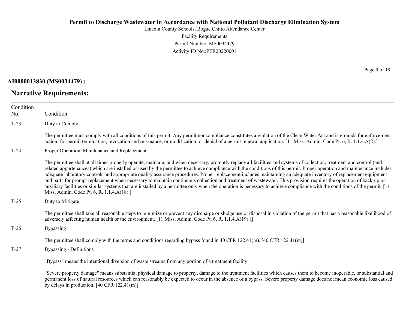Lincoln County Schools, Bogue Chitto Attendance Center Facility Requirements Permit Number: MS0034479 Activity ID No.:PER20220001

**AI0000013830 (MS0034479) :**

**Narrative Requirements:**

Page 9 of 19

| Condition<br>No. | Condition                                                                                                                                                                                                                                                                                                                                                                                                                                                                                                                                                                                                                                                                                                                                                                                                                                                                                                                 |  |  |
|------------------|---------------------------------------------------------------------------------------------------------------------------------------------------------------------------------------------------------------------------------------------------------------------------------------------------------------------------------------------------------------------------------------------------------------------------------------------------------------------------------------------------------------------------------------------------------------------------------------------------------------------------------------------------------------------------------------------------------------------------------------------------------------------------------------------------------------------------------------------------------------------------------------------------------------------------|--|--|
| $T-23$           | Duty to Comply                                                                                                                                                                                                                                                                                                                                                                                                                                                                                                                                                                                                                                                                                                                                                                                                                                                                                                            |  |  |
|                  | The permittee must comply with all conditions of this permit. Any permit noncompliance constitutes a violation of the Clean Water Act and is grounds for enforcement<br>action; for permit termination, revocation and reissuance, or modification; or denial of a permit renewal application. [11 Miss. Admin. Code Pt. 6, R. 1.1.4.A(2).]                                                                                                                                                                                                                                                                                                                                                                                                                                                                                                                                                                               |  |  |
| $T-24$           | Proper Operation, Maintenance and Replacement                                                                                                                                                                                                                                                                                                                                                                                                                                                                                                                                                                                                                                                                                                                                                                                                                                                                             |  |  |
|                  | The permittee shall at all times properly operate, maintain, and when necessary, promptly replace all facilities and systems of collection, treatment and control (and<br>related appurtenances) which are installed or used by the permittee to achieve compliance with the conditions of this permit. Proper operation and maintenance includes<br>adequate laboratory controls and appropriate quality assurance procedures. Proper replacement includes maintaining an adequate inventory of replacement equipment<br>and parts for prompt replacement when necessary to maintain continuous collection and treatment of wastewater. This provision requires the operation of back-up or<br>auxiliary facilities or similar systems that are installed by a permittee only when the operation is necessary to achieve compliance with the conditions of the permit. [11]<br>Miss. Admin. Code Pt. 6, R. 1.1.4.A(18).] |  |  |
| $T-25$           | Duty to Mitigate                                                                                                                                                                                                                                                                                                                                                                                                                                                                                                                                                                                                                                                                                                                                                                                                                                                                                                          |  |  |
|                  | The permittee shall take all reasonable steps to minimize or prevent any discharge or sludge use or disposal in violation of the permit that has a reasonable likelihood of<br>adversely affecting human health or the environment. [11 Miss. Admin. Code Pt. 6, R. 1.1.4.A(19).)]                                                                                                                                                                                                                                                                                                                                                                                                                                                                                                                                                                                                                                        |  |  |
| $T-26$           | <b>Bypassing</b>                                                                                                                                                                                                                                                                                                                                                                                                                                                                                                                                                                                                                                                                                                                                                                                                                                                                                                          |  |  |
|                  | The permittee shall comply with the terms and conditions regarding bypass found in 40 CFR 122.41(m). [40 CFR 122.41(m)]                                                                                                                                                                                                                                                                                                                                                                                                                                                                                                                                                                                                                                                                                                                                                                                                   |  |  |
| $T-27$           | Bypassing - Definitions                                                                                                                                                                                                                                                                                                                                                                                                                                                                                                                                                                                                                                                                                                                                                                                                                                                                                                   |  |  |
|                  | "Bypass" means the intentional diversion of waste streams from any portion of a treatment facility.                                                                                                                                                                                                                                                                                                                                                                                                                                                                                                                                                                                                                                                                                                                                                                                                                       |  |  |
|                  | "Severe property damage" means substantial physical damage to property, damage to the treatment facilities which causes them to become inoperable, or substantial and<br>permanent loss of natural resources which can reasonably be expected to occur in the absence of a bypass. Severe property damage does not mean economic loss caused<br>by delays in production. $[40 \text{ CFR } 122.41 \text{ (m)}]$                                                                                                                                                                                                                                                                                                                                                                                                                                                                                                           |  |  |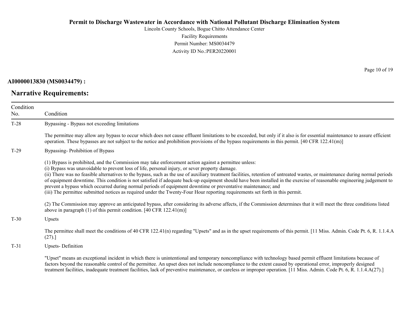Lincoln County Schools, Bogue Chitto Attendance Center Facility Requirements Permit Number: MS0034479 Activity ID No.:PER20220001

**AI0000013830 (MS0034479) :**

# **Narrative Requirements:**

Page 10 of 19

| Condition<br>No. | Condition                                                                                                                                                                                                                                                                                                                                                                                                                                                                                                                                                                                                                                                                                                                                                                                                          |  |  |
|------------------|--------------------------------------------------------------------------------------------------------------------------------------------------------------------------------------------------------------------------------------------------------------------------------------------------------------------------------------------------------------------------------------------------------------------------------------------------------------------------------------------------------------------------------------------------------------------------------------------------------------------------------------------------------------------------------------------------------------------------------------------------------------------------------------------------------------------|--|--|
| $T-28$           | Bypassing - Bypass not exceeding limitations                                                                                                                                                                                                                                                                                                                                                                                                                                                                                                                                                                                                                                                                                                                                                                       |  |  |
|                  | The permittee may allow any bypass to occur which does not cause effluent limitations to be exceeded, but only if it also is for essential maintenance to assure efficient<br>operation. These bypasses are not subject to the notice and prohibition provisions of the bypass requirements in this permit. $[40 \text{ CFR } 122.41 \text{ (m)}]$                                                                                                                                                                                                                                                                                                                                                                                                                                                                 |  |  |
| $T-29$           | Bypassing-Prohibition of Bypass                                                                                                                                                                                                                                                                                                                                                                                                                                                                                                                                                                                                                                                                                                                                                                                    |  |  |
|                  | (1) Bypass is prohibited, and the Commission may take enforcement action against a permittee unless:<br>(i) Bypass was unavoidable to prevent loss of life, personal injury, or sever property damage.<br>(ii) There was no feasible alternatives to the bypass, such as the use of auxiliary treatment facilities, retention of untreated wastes, or maintenance during normal periods<br>of equipment downtime. This condition is not satisfied if adequate back-up equipment should have been installed in the exercise of reasonable engineering judgement to<br>prevent a bypass which occurred during normal periods of equipment downtime or preventative maintenance; and<br>(iii) The permittee submitted notices as required under the Twenty-Four Hour reporting requirements set forth in this permit. |  |  |
|                  | (2) The Commission may approve an anticipated bypass, after considering its adverse affects, if the Commission determines that it will meet the three conditions listed<br>above in paragraph $(1)$ of this permit condition. [40 CFR 122.41(m)]                                                                                                                                                                                                                                                                                                                                                                                                                                                                                                                                                                   |  |  |
| $T-30$           | Upsets                                                                                                                                                                                                                                                                                                                                                                                                                                                                                                                                                                                                                                                                                                                                                                                                             |  |  |
|                  | The permittee shall meet the conditions of 40 CFR 122.41(n) regarding "Upsets" and as in the upset requirements of this permit. [11 Miss. Admin. Code Pt. 6, R. 1.1.4.A<br>(27).                                                                                                                                                                                                                                                                                                                                                                                                                                                                                                                                                                                                                                   |  |  |
| $T-31$           | <b>Upsets-Definition</b>                                                                                                                                                                                                                                                                                                                                                                                                                                                                                                                                                                                                                                                                                                                                                                                           |  |  |
|                  | "Upset" means an exceptional incident in which there is unintentional and temporary noncompliance with technology based permit effluent limitations because of<br>factors beyond the reasonable control of the permittee. An upset does not include noncompliance to the extent caused by operational error, improperly designed<br>treatment facilities, inadequate treatment facilities, lack of preventive maintenance, or careless or improper operation. [11 Miss. Admin. Code Pt. 6, R. 1.1.4.A(27).]                                                                                                                                                                                                                                                                                                        |  |  |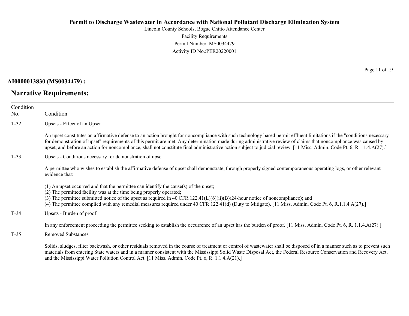Lincoln County Schools, Bogue Chitto Attendance Center Facility Requirements Permit Number: MS0034479 Activity ID No.:PER20220001

**AI0000013830 (MS0034479) :**

**Narrative Requirements:**

Page 11 of 19

| Condition<br>No. | Condition                                                                                                                                                                                                                                                                                                                                                                                                                                                                                                             |  |  |
|------------------|-----------------------------------------------------------------------------------------------------------------------------------------------------------------------------------------------------------------------------------------------------------------------------------------------------------------------------------------------------------------------------------------------------------------------------------------------------------------------------------------------------------------------|--|--|
| $T-32$           | Upsets - Effect of an Upset                                                                                                                                                                                                                                                                                                                                                                                                                                                                                           |  |  |
|                  | An upset constitutes an affirmative defense to an action brought for noncompliance with such technology based permit effluent limitations if the "conditions necessary<br>for demonstration of upset" requirements of this permit are met. Any determination made during administrative review of claims that noncompliance was caused by<br>upset, and before an action for noncompliance, shall not constitute final administrative action subject to judicial review. [11 Miss. Admin. Code Pt. 6, R.1.1.4.A(27).] |  |  |
| $T-33$           | Upsets - Conditions necessary for demonstration of upset                                                                                                                                                                                                                                                                                                                                                                                                                                                              |  |  |
|                  | A permittee who wishes to establish the affirmative defense of upset shall demonstrate, through properly signed contemporaneous operating logs, or other relevant<br>evidence that:                                                                                                                                                                                                                                                                                                                                   |  |  |
|                  | $(1)$ An upset occurred and that the permittee can identify the cause(s) of the upset;<br>(2) The permitted facility was at the time being properly operated;<br>(3) The permittee submitted notice of the upset as required in 40 CFR $122.41(L)(6)(ii)(B)(24-hour notice of noncompliance)$ ; and<br>(4) The permittee complied with any remedial measures required under 40 CFR 122.41(d) (Duty to Mitigate). [11 Miss. Admin. Code Pt. 6, R.1.1.4.A(27).]                                                         |  |  |
| $T-34$           | Upsets - Burden of proof                                                                                                                                                                                                                                                                                                                                                                                                                                                                                              |  |  |
|                  | In any enforcement proceeding the permittee seeking to establish the occurrence of an upset has the burden of proof. [11 Miss. Admin. Code Pt. 6, R. 1.1.4.A(27).]                                                                                                                                                                                                                                                                                                                                                    |  |  |
| $T-35$           | <b>Removed Substances</b>                                                                                                                                                                                                                                                                                                                                                                                                                                                                                             |  |  |
|                  | Solids, sludges, filter backwash, or other residuals removed in the course of treatment or control of wastewater shall be disposed of in a manner such as to prevent such<br>materials from entering State waters and in a manner consistent with the Mississippi Solid Waste Disposal Act, the Federal Resource Conservation and Recovery Act,<br>and the Mississippi Water Pollution Control Act. [11 Miss. Admin. Code Pt. 6, R. 1.1.4.A(21).]                                                                     |  |  |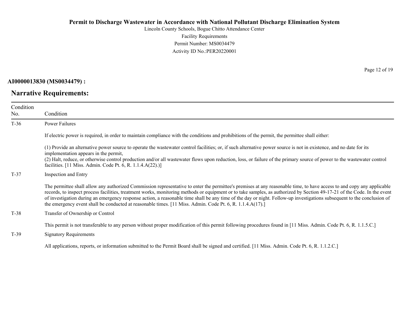Lincoln County Schools, Bogue Chitto Attendance Center Facility Requirements Permit Number: MS0034479 Activity ID No.:PER20220001

**AI0000013830 (MS0034479) :**

**Narrative Requirements:**

Page 12 of 19

| Condition<br>No. | Condition<br>Power Failures                                                                                                                                                                                                                                                                                                                                                                                                                                                                                                                                                                                                                |  |  |
|------------------|--------------------------------------------------------------------------------------------------------------------------------------------------------------------------------------------------------------------------------------------------------------------------------------------------------------------------------------------------------------------------------------------------------------------------------------------------------------------------------------------------------------------------------------------------------------------------------------------------------------------------------------------|--|--|
| $T-36$           |                                                                                                                                                                                                                                                                                                                                                                                                                                                                                                                                                                                                                                            |  |  |
|                  | If electric power is required, in order to maintain compliance with the conditions and prohibitions of the permit, the permittee shall either:                                                                                                                                                                                                                                                                                                                                                                                                                                                                                             |  |  |
|                  | (1) Provide an alternative power source to operate the wastewater control facilities; or, if such alternative power source is not in existence, and no date for its<br>implementation appears in the permit,<br>(2) Halt, reduce, or otherwise control production and/or all wastewater flows upon reduction, loss, or failure of the primary source of power to the wastewater control<br>facilities. [11 Miss. Admin. Code Pt. 6, R. 1.1.4.A(22).)]                                                                                                                                                                                      |  |  |
| $T-37$           | Inspection and Entry                                                                                                                                                                                                                                                                                                                                                                                                                                                                                                                                                                                                                       |  |  |
|                  | The permittee shall allow any authorized Commission representative to enter the permittee's premises at any reasonable time, to have access to and copy any applicable<br>records, to inspect process facilities, treatment works, monitoring methods or equipment or to take samples, as authorized by Section 49-17-21 of the Code. In the event<br>of investigation during an emergency response action, a reasonable time shall be any time of the day or night. Follow-up investigations subsequent to the conclusion of<br>the emergency event shall be conducted at reasonable times. [11 Miss. Admin. Code Pt. 6, R. 1.1.4.A(17).] |  |  |
| $T-38$           | Transfer of Ownership or Control                                                                                                                                                                                                                                                                                                                                                                                                                                                                                                                                                                                                           |  |  |
| $T-39$           | This permit is not transferable to any person without proper modification of this permit following procedures found in [11 Miss. Admin. Code Pt. 6, R. 1.1.5.C.]<br><b>Signatory Requirements</b>                                                                                                                                                                                                                                                                                                                                                                                                                                          |  |  |
|                  | All applications, reports, or information submitted to the Permit Board shall be signed and certified. [11 Miss. Admin. Code Pt. 6, R. 1.1.2.C.]                                                                                                                                                                                                                                                                                                                                                                                                                                                                                           |  |  |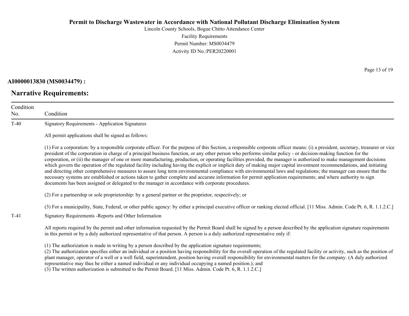Lincoln County Schools, Bogue Chitto Attendance Center Facility Requirements Permit Number: MS0034479 Activity ID No.:PER20220001

#### **AI0000013830 (MS0034479) :**

# **Narrative Requirements:**

Page 13 of 19

| Condition<br>No. | Condition                                                                                                                                                                                                                                                                                                                                                                                                                                                                                                                                                                                                                                                                                                                                                                                                                                                                                                                                                                                                                                                                                                                                      |  |
|------------------|------------------------------------------------------------------------------------------------------------------------------------------------------------------------------------------------------------------------------------------------------------------------------------------------------------------------------------------------------------------------------------------------------------------------------------------------------------------------------------------------------------------------------------------------------------------------------------------------------------------------------------------------------------------------------------------------------------------------------------------------------------------------------------------------------------------------------------------------------------------------------------------------------------------------------------------------------------------------------------------------------------------------------------------------------------------------------------------------------------------------------------------------|--|
| $T-40$           | <b>Signatory Requirements - Application Signatures</b>                                                                                                                                                                                                                                                                                                                                                                                                                                                                                                                                                                                                                                                                                                                                                                                                                                                                                                                                                                                                                                                                                         |  |
|                  | All permit applications shall be signed as follows:                                                                                                                                                                                                                                                                                                                                                                                                                                                                                                                                                                                                                                                                                                                                                                                                                                                                                                                                                                                                                                                                                            |  |
|                  | (1) For a corporation: by a responsible corporate officer. For the purpose of this Section, a responsible corporate officer means: (i) a president, secretary, treasurer or vice<br>president of the corporation in charge of a principal business function, or any other person who performs similar policy - or decision-making function for the<br>corporation, or (ii) the manager of one or more manufacturing, production, or operating facilities provided, the manager is authorized to make management decisions<br>which govern the operation of the regulated facility including having the explicit or implicit duty of making major capital investment recommendations, and initiating<br>and directing other comprehensive measures to assure long term environmental compliance with environmental laws and regulations; the manager can ensure that the<br>necessary systems are established or actions taken to gather complete and accurate information for permit application requirements; and where authority to sign<br>documents has been assigned or delegated to the manager in accordance with corporate procedures. |  |
|                  | (2) For a partnership or sole proprietorship: by a general partner or the proprietor, respectively; or                                                                                                                                                                                                                                                                                                                                                                                                                                                                                                                                                                                                                                                                                                                                                                                                                                                                                                                                                                                                                                         |  |
| $T-41$           | (3) For a municipality, State, Federal, or other public agency: by either a principal executive officer or ranking elected official. [11 Miss. Admin. Code Pt. 6, R. 1.1.2.C.]<br>Signatory Requirements - Reports and Other Information                                                                                                                                                                                                                                                                                                                                                                                                                                                                                                                                                                                                                                                                                                                                                                                                                                                                                                       |  |
|                  | All reports required by the permit and other information requested by the Permit Board shall be signed by a person described by the application signature requirements<br>in this permit or by a duly authorized representative of that person. A person is a duly authorized representative only if:                                                                                                                                                                                                                                                                                                                                                                                                                                                                                                                                                                                                                                                                                                                                                                                                                                          |  |
|                  | (1) The authorization is made in writing by a person described by the application signature requirements;<br>(2) The authorization specifies either an individual or a position having responsibility for the overall operation of the regulated facility or activity, such as the position of<br>plant manager, operator of a well or a well field, superintendent, position having overall responsibility for environmental matters for the company. (A duly authorized<br>representative may thus be either a named individual or any individual occupying a named position.): and                                                                                                                                                                                                                                                                                                                                                                                                                                                                                                                                                          |  |

representative may thus be either a named individual or any individual occupying a named position.); and

(3) The written authorization is submitted to the Permit Board. [11 Miss. Admin. Code Pt. 6, R. 1.1.2.C.]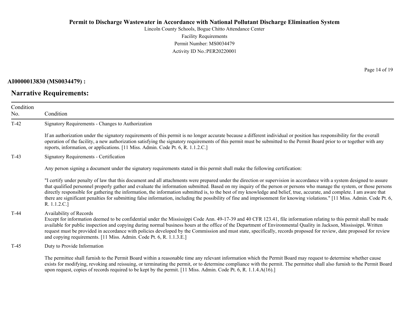Lincoln County Schools, Bogue Chitto Attendance Center Facility Requirements Permit Number: MS0034479 Activity ID No.:PER20220001

## **AI0000013830 (MS0034479) :**

# **Narrative Requirements:**

Page 14 of 19

| Condition<br>No. | Condition                                                                                                                                                                                                                                                                                                                                                                                                                                                                                                                                                                                                                                                                                                                |  |
|------------------|--------------------------------------------------------------------------------------------------------------------------------------------------------------------------------------------------------------------------------------------------------------------------------------------------------------------------------------------------------------------------------------------------------------------------------------------------------------------------------------------------------------------------------------------------------------------------------------------------------------------------------------------------------------------------------------------------------------------------|--|
| $T-42$           | Signatory Requirements - Changes to Authorization                                                                                                                                                                                                                                                                                                                                                                                                                                                                                                                                                                                                                                                                        |  |
|                  | If an authorization under the signatory requirements of this permit is no longer accurate because a different individual or position has responsibility for the overall<br>operation of the facility, a new authorization satisfying the signatory requirements of this permit must be submitted to the Permit Board prior to or together with any<br>reports, information, or applications. [11 Miss. Admin. Code Pt. 6, R. 1.1.2.C.]                                                                                                                                                                                                                                                                                   |  |
| $T-43$           | <b>Signatory Requirements - Certification</b>                                                                                                                                                                                                                                                                                                                                                                                                                                                                                                                                                                                                                                                                            |  |
|                  | Any person signing a document under the signatory requirements stated in this permit shall make the following certification:                                                                                                                                                                                                                                                                                                                                                                                                                                                                                                                                                                                             |  |
|                  | "I certify under penalty of law that this document and all attachments were prepared under the direction or supervision in accordance with a system designed to assure<br>that qualified personnel properly gather and evaluate the information submitted. Based on my inquiry of the person or persons who manage the system, or those persons<br>directly responsible for gathering the information, the information submitted is, to the best of my knowledge and belief, true, accurate, and complete. I am aware that<br>there are significant penalties for submitting false information, including the possibility of fine and imprisonment for knowing violations." [11 Miss. Admin. Code Pt. 6,<br>R. 1.1.2.C.] |  |
| $T-44$           | Availability of Records<br>Except for information deemed to be confidential under the Mississippi Code Ann. 49-17-39 and 40 CFR 123.41, file information relating to this permit shall be made<br>available for public inspection and copying during normal business hours at the office of the Department of Environmental Quality in Jackson, Mississippi. Written<br>request must be provided in accordance with policies developed by the Commission and must state, specifically, records proposed for review, date proposed for review<br>and copying requirements. [11 Miss. Admin. Code Pt. 6, R. 1.1.3.E.]                                                                                                      |  |
| $T-45$           | Duty to Provide Information                                                                                                                                                                                                                                                                                                                                                                                                                                                                                                                                                                                                                                                                                              |  |
|                  | The permittee shall furnish to the Permit Board within a reasonable time any relevant information which the Permit Board may request to determine whether cause<br>exists for modifying, revoking and reissuing, or terminating the permit, or to determine compliance with the permit. The permittee shall also furnish to the Permit Board<br>upon request, copies of records required to be kept by the permit. [11 Miss. Admin. Code Pt. 6, R. 1.1.4.A(16).]                                                                                                                                                                                                                                                         |  |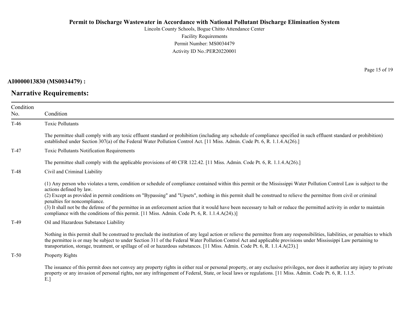Lincoln County Schools, Bogue Chitto Attendance Center Facility Requirements Permit Number: MS0034479 Activity ID No.:PER20220001

**AI0000013830 (MS0034479) :**

# **Narrative Requirements:**

Page 15 of 19

| Condition<br>No. | Condition                                                                                                                                                                                                                                                                                                                                                                                                                                                                                                                                                                                                                                                                            |  |
|------------------|--------------------------------------------------------------------------------------------------------------------------------------------------------------------------------------------------------------------------------------------------------------------------------------------------------------------------------------------------------------------------------------------------------------------------------------------------------------------------------------------------------------------------------------------------------------------------------------------------------------------------------------------------------------------------------------|--|
| $T-46$           | <b>Toxic Pollutants</b>                                                                                                                                                                                                                                                                                                                                                                                                                                                                                                                                                                                                                                                              |  |
|                  | The permittee shall comply with any toxic effluent standard or prohibition (including any schedule of compliance specified in such effluent standard or prohibition)<br>established under Section 307(a) of the Federal Water Pollution Control Act. [11 Miss. Admin. Code Pt. 6, R. 1.1.4.A(26).]                                                                                                                                                                                                                                                                                                                                                                                   |  |
| $T-47$           | Toxic Pollutants Notification Requirements                                                                                                                                                                                                                                                                                                                                                                                                                                                                                                                                                                                                                                           |  |
|                  | The permittee shall comply with the applicable provisions of 40 CFR 122.42. [11 Miss. Admin. Code Pt. 6, R. 1.1.4.A(26).]                                                                                                                                                                                                                                                                                                                                                                                                                                                                                                                                                            |  |
| $T-48$           | Civil and Criminal Liability                                                                                                                                                                                                                                                                                                                                                                                                                                                                                                                                                                                                                                                         |  |
|                  | (1) Any person who violates a term, condition or schedule of compliance contained within this permit or the Mississippi Water Pollution Control Law is subject to the<br>actions defined by law.<br>(2) Except as provided in permit conditions on "Bypassing" and "Upsets", nothing in this permit shall be construed to relieve the permittee from civil or criminal<br>penalties for noncompliance.<br>(3) It shall not be the defense of the permittee in an enforcement action that it would have been necessary to halt or reduce the permitted activity in order to maintain<br>compliance with the conditions of this permit. [11 Miss. Admin. Code Pt. 6, R. 1.1.4.A(24).)] |  |
| $T-49$           | Oil and Hazardous Substance Liability                                                                                                                                                                                                                                                                                                                                                                                                                                                                                                                                                                                                                                                |  |
|                  | Nothing in this permit shall be construed to preclude the institution of any legal action or relieve the permittee from any responsibilities, liabilities, or penalties to which<br>the permittee is or may be subject to under Section 311 of the Federal Water Pollution Control Act and applicable provisions under Mississippi Law pertaining to<br>transportation, storage, treatment, or spillage of oil or hazardous substances. [11 Miss. Admin. Code Pt. 6, R. 1.1.4.A(23).]                                                                                                                                                                                                |  |
| $T-50$           | Property Rights                                                                                                                                                                                                                                                                                                                                                                                                                                                                                                                                                                                                                                                                      |  |
|                  | The issuance of this permit does not convey any property rights in either real or personal property, or any exclusive privileges, nor does it authorize any injury to private<br>property or any invasion of personal rights, nor any infringement of Federal, State, or local laws or regulations. [11 Miss. Admin. Code Pt. 6, R. 1.1.5.                                                                                                                                                                                                                                                                                                                                           |  |

E.]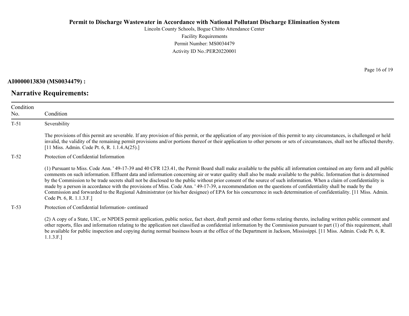Lincoln County Schools, Bogue Chitto Attendance Center Facility Requirements Permit Number: MS0034479 Activity ID No.:PER20220001

**AI0000013830 (MS0034479) :**

T-51 Severability

Condition No.

## **Narrative Requirements:**

Condition

The provisions of this permit are severable. If any provision of this permit, or the application of any provision of this permit to any circumstances, is challenged or held

invalid, the validity of the remaining permit provisions and/or portions thereof or their application to other persons or sets of circumstances, shall not be affected thereby. [11 Miss. Admin. Code Pt. 6, R. 1.1.4.A(25).]

#### T-52 Protection of Confidential Information

(1) Pursuant to Miss. Code Ann. ' 49-17-39 and 40 CFR 123.41, the Permit Board shall make available to the public all information contained on any form and all public comments on such information. Effluent data and information concerning air or water quality shall also be made available to the public. Information that is determined by the Commission to be trade secrets shall not be disclosed to the public without prior consent of the source of such information. When a claim of confidentiality is made by a person in accordance with the provisions of Miss. Code Ann. ' 49-17-39, a recommendation on the questions of confidentiality shall be made by the Commission and forwarded to the Regional Administrator (or his/her designee) of EPA for his concurrence in such determination of confidentiality. [11 Miss. Admin. Code Pt. 6, R. 1.1.3.F.]

#### T-53 Protection of Confidential Information- continued

(2) A copy of a State, UIC, or NPDES permit application, public notice, fact sheet, draft permit and other forms relating thereto, including written public comment and other reports, files and information relating to the application not classified as confidential information by the Commission pursuant to part (1) of this requirement, shall be available for public inspection and copying during normal business hours at the office of the Department in Jackson, Mississippi. [11 Miss. Admin. Code Pt. 6, R. 1.1.3.F.]

Page 16 of 19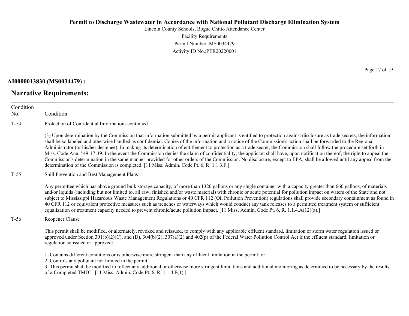Lincoln County Schools, Bogue Chitto Attendance Center Facility Requirements Permit Number: MS0034479 Activity ID No.:PER20220001

**AI0000013830 (MS0034479) :**

Condition No.

**Narrative Requirements:**

Condition

T-54 Protection of Confidential Information- continued (3) Upon determination by the Commission that information submitted by a permit applicant is entitled to protection against disclosure as trade secrets, the information shall be so labeled and otherwise handled as confidential. Copies of the information and a notice of the Commission's action shall be forwarded to the Regional Administrator (or his/her designee). In making its determination of entitlement to protection as a trade secret, the Commission shall follow the procedure set forth in Miss. Code Ann. ' 49-17-39. In the event the Commission denies the claim of confidentiality, the applicant shall have, upon notification thereof, the right to appeal the Commission's determination in the same manner provided for other orders of the Commission. No disclosure, except to EPA, shall be allowed until any appeal from the

T-55 Spill Prevention and Best Management Plans

Any permittee which has above ground bulk storage capacity, of more than 1320 gallons or any single container with a capacity greater than 660 gallons, of materials and/or liquids (including but not limited to, all raw, finished and/or waste material) with chronic or acute potential for pollution impact on waters of the State and not subject to Mississippi Hazardous Waste Management Regulations or 40 CFR 112 (Oil Pollution Prevention) regulations shall provide secondary containment as found in 40 CFR 112 or equivalent protective measures such as trenches or waterways which would conduct any tank releases to a permitted treatment system or sufficient equalization or treatment capacity needed to prevent chronic/acute pollution impact. [11 Miss. Admin. Code Pt. 6, R. 1.1.4.A(12)(a).]

T-56 Reopener Clause

This permit shall be modified, or alternately, revoked and reissued, to comply with any applicable effluent standard, limitation or storm water regulation issued or approved under Section  $301(b)(2)(C)$ , and  $(D)$ ,  $304(b)(2)$ ,  $307(a)(2)$  and  $402(p)$  of the Federal Water Pollution Control Act if the effluent standard, limitation or regulation so issued or approved:

1. Contains different conditions or is otherwise more stringent than any effluent limitation in the permit; or

determination of the Commission is completed. [11 Miss. Admin. Code Pt. 6, R. 1.1.3.F.]

2. Controls any pollutant not limited in the permit.

3. This permit shall be modified to reflect any additional or otherwise more stringent limitations and additional monitoring as determined to be necessary by the results of a Completed TMDL. [11 Miss. Admin. Code Pt. 6, R. 1.1.4.F(1).]

Page 17 of 19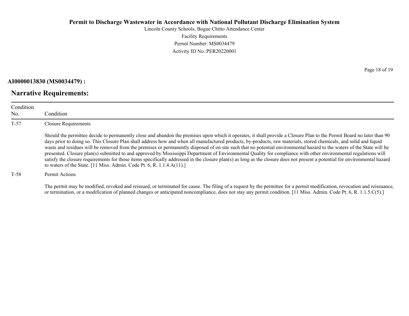Lincoln County Schools, Bogue Chitto Attendance Center Facility Requirements Permit Number: MS0034479 Activity ID No.:PER20220001

**AI0000013830 (MS0034479) :**

## **Narrative Requirements:**

Condition No. Condition T-57 Closure Requirements Should the permittee decide to permanently close and abandon the premises upon which it operates, it shall provide a Closure Plan to the Permit Board no later than 90 days prior to doing so. This Closure Plan shall address how and when all manufactured products, by-products, raw materials, stored chemicals, and solid and liquid waste and residues will be removed from the premises or permanently disposed of on site such that no potential environmental hazard to the waters of the State will be presented. Closure plan(s) submitted to and approved by Mississippi Department of Environmental Quality for compliance with other environmental regulations will satisfy the closure requirements for those items specifically addressed in the closure plan(s) as long as the closure does not present a potential for environmental hazard to waters of the State. [11 Miss. Admin. Code Pt. 6, R. 1.1.4.A(11).]

#### T-58 Permit Actions

The permit may be modified, revoked and reissued, or terminated for cause. The filing of a request by the permittee for a permit modification, revocation and reissuance, or termination, or a modification of planned changes or anticipated noncompliance, does not stay any permit condition. [11 Miss. Admin. Code Pt. 6, R. 1.1.5.C(5).]

Page 18 of 19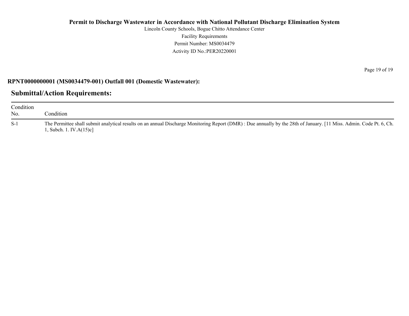Lincoln County Schools, Bogue Chitto Attendance Center Facility Requirements Permit Number: MS0034479 Activity ID No.:PER20220001

### **RPNT0000000001 (MS0034479-001) Outfall 001 (Domestic Wastewater):**

## **Submittal/Action Requirements:**

| Condition<br>No. | Condition                                                                                                                                                                                      |
|------------------|------------------------------------------------------------------------------------------------------------------------------------------------------------------------------------------------|
| $S-1$            | The Permittee shall submit analytical results on an annual Discharge Monitoring Report (DMR): Due annually by the 28th of January. [11 Miss. Admin. Code Pt. 6, Ch.<br>1, Subch. 1. IV.A(15)c] |

Page 19 of 19